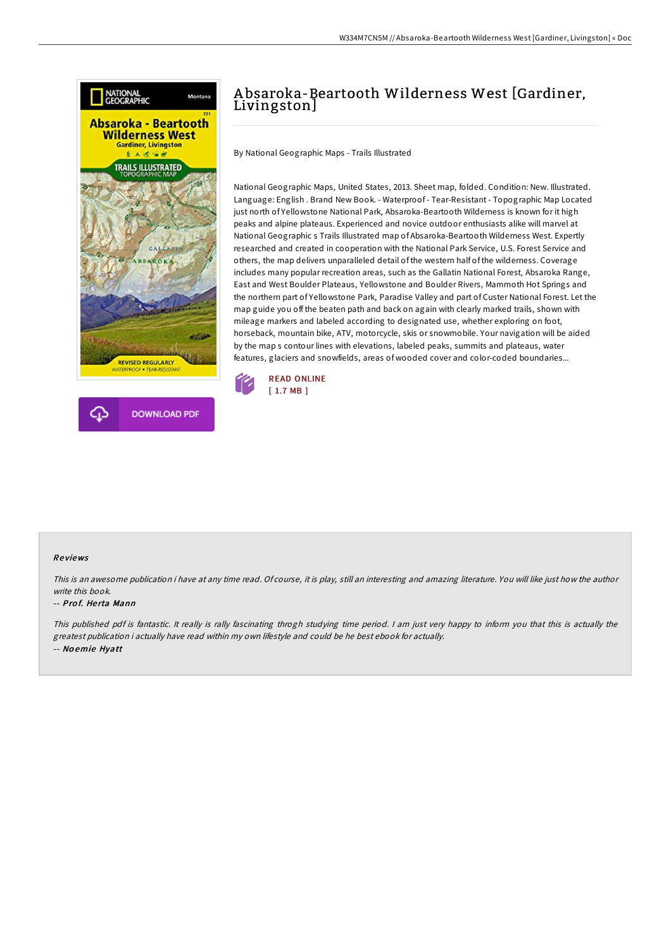



## W334M7CN5M // Absaroka-Beartooth Wilderness West[Gardiner, Livingston] « Doc

# A bsaroka-Beartooth Wilderness West [Gardiner, Livingston]

By National Geographic Maps - Trails Illustrated

National Geographic Maps, United States, 2013. Sheet map, folded. Condition: New. Illustrated. Language: English . Brand New Book. - Waterproof - Tear-Resistant - Topographic Map Located just north of Yellowstone National Park, Absaroka-Beartooth Wilderness is known for it high peaks and alpine plateaus. Experienced and novice outdoor enthusiasts alike will marvel at National Geographic s Trails Illustrated map of Absaroka-Beartooth Wilderness West. Expertly researched and created in cooperation with the National Park Service, U.S. Forest Service and others, the map delivers unparalleled detail of the western half of the wilderness. Coverage includes many popular recreation areas, such as the Gallatin National Forest, Absaroka Range, East and West Boulder Plateaus, Yellowstone and Boulder Rivers, Mammoth Hot Springs and the northern part of Yellowstone Park, Paradise Valley and part of Custer National Forest. Let the map guide you off the beaten path and back on again with clearly marked trails, shown with mileage markers and labeled according to designated use, whether exploring on foot, horseback, mountain bike, ATV, motorcycle, skis or snowmobile. Your navigation will be aided by the map s contour lines with elevations, labeled peaks, summits and plateaus, water features, glaciers and snowfields, areas of wooded cover and color-coded boundaries...



### Re views

This is an awesome publication i have at any time read. Of course, it is play, still an interesting and amazing literature. You will like just how the author write this book.

#### -- Prof. Herta Mann

This published pdf is fantastic. It really is rally fascinating throgh studying time period. <sup>I</sup> am just very happy to inform you that this is actually the greatest publication i actually have read within my own lifestyle and could be he best ebook for actually. -- No emie Hyatt